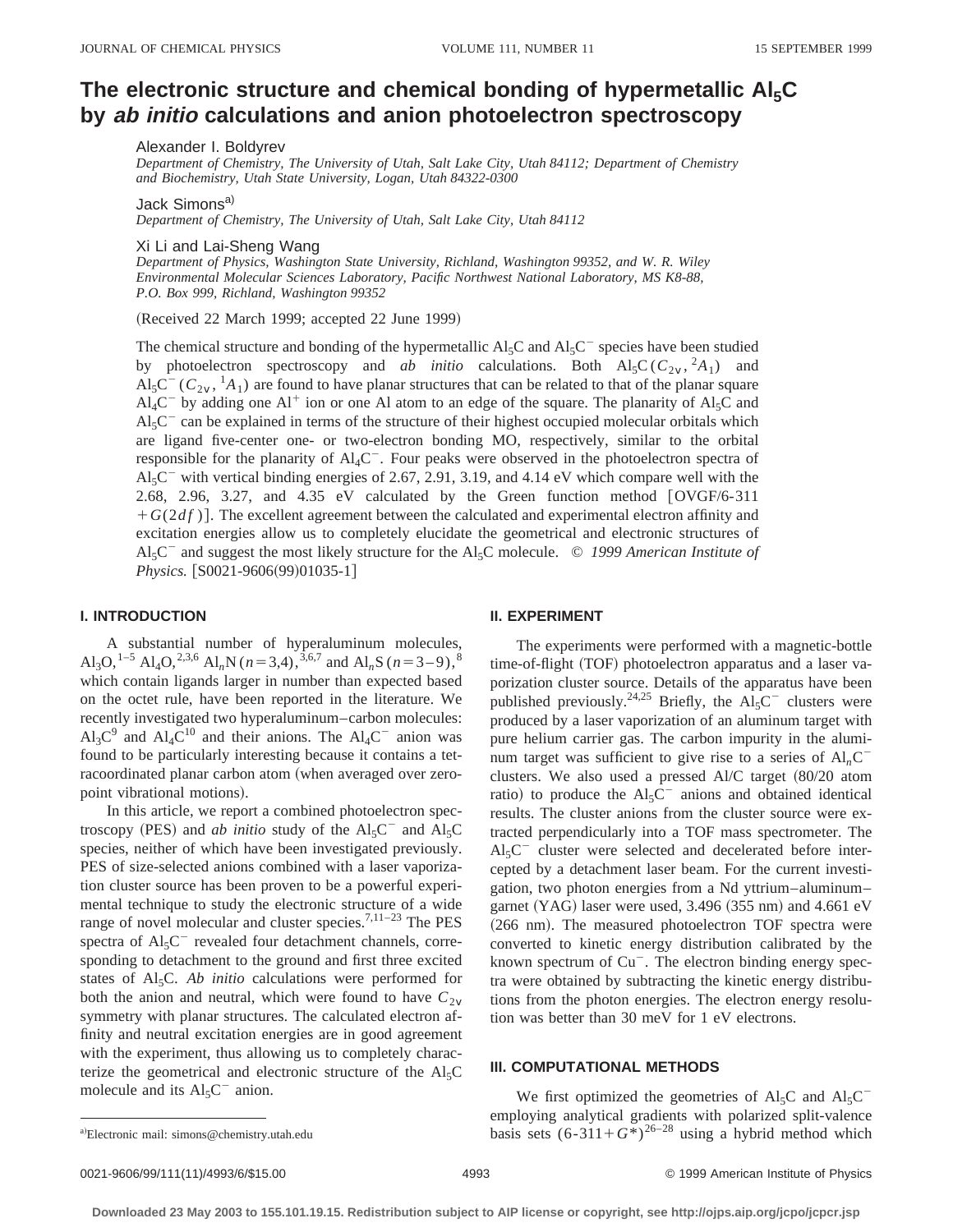# The electronic structure and chemical bonding of hypermetallic Al<sub>5</sub>C **by ab initio calculations and anion photoelectron spectroscopy**

Alexander I. Boldyrev

*Department of Chemistry, The University of Utah, Salt Lake City, Utah 84112; Department of Chemistry and Biochemistry, Utah State University, Logan, Utah 84322-0300*

Jack Simons<sup>a)</sup>

*Department of Chemistry, The University of Utah, Salt Lake City, Utah 84112*

Xi Li and Lai-Sheng Wang

*Department of Physics, Washington State University, Richland, Washington 99352, and W. R. Wiley Environmental Molecular Sciences Laboratory, Pacific Northwest National Laboratory, MS K8-88, P.O. Box 999, Richland, Washington 99352*

 $(Received 22 March 1999; accepted 22 June 1999)$ 

The chemical structure and bonding of the hypermetallic  $A \cdot C$  and  $A \cdot C$ <sup>2</sup> species have been studied by photoelectron spectroscopy and *ab initio* calculations. Both  $\text{Al}_5\text{C}(C_{2v},^2A_1)$  and  $\text{Al}_5\text{C}^-(C_{2v}$ ,  ${}^1\text{A}_1)$  are found to have planar structures that can be related to that of the planar square  $Al_4C^-$  by adding one  $Al^+$  ion or one Al atom to an edge of the square. The planarity of  $Al_5C$  and  $Al<sub>5</sub>C<sup>-</sup>$  can be explained in terms of the structure of their highest occupied molecular orbitals which are ligand five-center one- or two-electron bonding MO, respectively, similar to the orbital responsible for the planarity of  $\text{Al}_4\text{C}^-$ . Four peaks were observed in the photoelectron spectra of  $Al_5C^-$  with vertical binding energies of 2.67, 2.91, 3.19, and 4.14 eV which compare well with the 2.68, 2.96, 3.27, and 4.35 eV calculated by the Green function method  $[OVGF/6-311]$  $+G(2df)$ ]. The excellent agreement between the calculated and experimental electron affinity and excitation energies allow us to completely elucidate the geometrical and electronic structures of  $A<sub>5</sub>C<sup>-</sup>$  and suggest the most likely structure for the  $A<sub>15</sub>C$  molecule.  $\odot$  1999 American Institute of *Physics.* [S0021-9606(99)01035-1]

# **I. INTRODUCTION**

A substantial number of hyperaluminum molecules, Al<sub>3</sub>O,<sup>1–5</sup> Al<sub>4</sub>O,<sup>2,3,6</sup> Al<sub>n</sub>N ( $n=3,4$ ),<sup>3,6,7</sup> and Al<sub>n</sub>S ( $n=3-9$ ),<sup>8</sup> which contain ligands larger in number than expected based on the octet rule, have been reported in the literature. We recently investigated two hyperaluminum–carbon molecules:  $Al_3C^9$  and  $Al_4C^{10}$  and their anions. The  $Al_4C^-$  anion was found to be particularly interesting because it contains a tetracoordinated planar carbon atom (when averaged over zeropoint vibrational motions).

In this article, we report a combined photoelectron spectroscopy (PES) and *ab initio* study of the  $Al_5C^-$  and  $Al_5C$ species, neither of which have been investigated previously. PES of size-selected anions combined with a laser vaporization cluster source has been proven to be a powerful experimental technique to study the electronic structure of a wide range of novel molecular and cluster species.<sup>7,11–23</sup> The PES spectra of  $Al<sub>5</sub>C$ <sup>-</sup> revealed four detachment channels, corresponding to detachment to the ground and first three excited states of Al<sub>5</sub>C. *Ab initio* calculations were performed for both the anion and neutral, which were found to have  $C_{2v}$ symmetry with planar structures. The calculated electron affinity and neutral excitation energies are in good agreement with the experiment, thus allowing us to completely characterize the geometrical and electronic structure of the  $Al<sub>5</sub>C$ molecule and its  $Al<sub>5</sub>C<sup>-</sup>$  anion.

#### **II. EXPERIMENT**

The experiments were performed with a magnetic-bottle time-of-flight (TOF) photoelectron apparatus and a laser vaporization cluster source. Details of the apparatus have been published previously.<sup>24,25</sup> Briefly, the  $Al_5C^-$  clusters were produced by a laser vaporization of an aluminum target with pure helium carrier gas. The carbon impurity in the aluminum target was sufficient to give rise to a series of  $Al<sub>n</sub>C$ clusters. We also used a pressed Al/C target  $(80/20$  atom ratio) to produce the  $Al<sub>5</sub>C<sup>-</sup>$  anions and obtained identical results. The cluster anions from the cluster source were extracted perpendicularly into a TOF mass spectrometer. The  $Al<sub>5</sub>C$ <sup>-</sup> cluster were selected and decelerated before intercepted by a detachment laser beam. For the current investigation, two photon energies from a Nd yttrium–aluminum– garnet (YAG) laser were used,  $3.496$  (355 nm) and  $4.661$  eV (266 nm). The measured photoelectron TOF spectra were converted to kinetic energy distribution calibrated by the known spectrum of  $Cu^-$ . The electron binding energy spectra were obtained by subtracting the kinetic energy distributions from the photon energies. The electron energy resolution was better than 30 meV for 1 eV electrons.

### **III. COMPUTATIONAL METHODS**

We first optimized the geometries of Al<sub>5</sub>C and Al<sub>5</sub>C<sup>-</sup> employing analytical gradients with polarized split-valence a) Electronic mail: simons @chemistry.utah.edu basis sets  $(6-311+G^*)^{26-28}$  using a hybrid method which

a)Electronic mail: simons@chemistry.utah.edu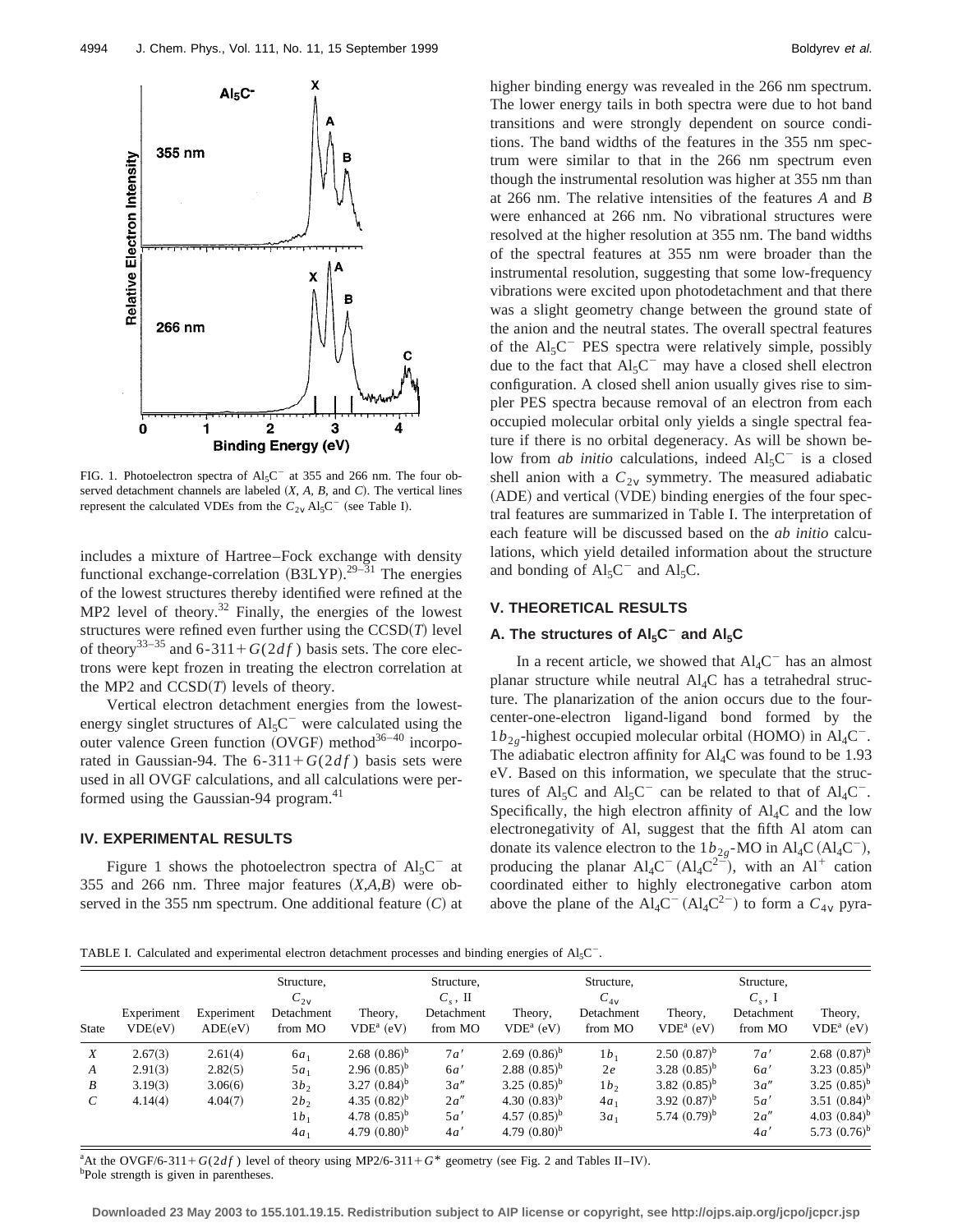

FIG. 1. Photoelectron spectra of  $Al_5C^-$  at 355 and 266 nm. The four observed detachment channels are labeled  $(X, A, B, \text{ and } C)$ . The vertical lines represent the calculated VDEs from the  $C_{2v}$  Al<sub>5</sub>C<sup>-</sup> (see Table I).

includes a mixture of Hartree–Fock exchange with density functional exchange-correlation  $(B3LYP).^{29-31}$  The energies of the lowest structures thereby identified were refined at the  $MP2$  level of theory.<sup>32</sup> Finally, the energies of the lowest structures were refined even further using the  $CCSD(T)$  level of theory<sup>33–35</sup> and 6-311+ $G(2df)$  basis sets. The core electrons were kept frozen in treating the electron correlation at the MP2 and  $CCSD(T)$  levels of theory.

Vertical electron detachment energies from the lowestenergy singlet structures of  $Al<sub>5</sub>C$ <sup>-</sup> were calculated using the outer valence Green function  $(OVGF)$  method<sup>36–40</sup> incorporated in Gaussian-94. The  $6-311+G(2df)$  basis sets were used in all OVGF calculations, and all calculations were performed using the Gaussian-94 program.<sup>41</sup>

# **IV. EXPERIMENTAL RESULTS**

Figure 1 shows the photoelectron spectra of  $Al_5C^{\dagger}$  at 355 and 266 nm. Three major features  $(X, A, B)$  were observed in the 355 nm spectrum. One additional feature  $(C)$  at higher binding energy was revealed in the 266 nm spectrum. The lower energy tails in both spectra were due to hot band transitions and were strongly dependent on source conditions. The band widths of the features in the 355 nm spectrum were similar to that in the 266 nm spectrum even though the instrumental resolution was higher at 355 nm than at 266 nm. The relative intensities of the features *A* and *B* were enhanced at 266 nm. No vibrational structures were resolved at the higher resolution at 355 nm. The band widths of the spectral features at 355 nm were broader than the instrumental resolution, suggesting that some low-frequency vibrations were excited upon photodetachment and that there was a slight geometry change between the ground state of the anion and the neutral states. The overall spectral features of the  $Al<sub>5</sub>C$ <sup>-</sup> PES spectra were relatively simple, possibly due to the fact that  $Al_5C^-$  may have a closed shell electron configuration. A closed shell anion usually gives rise to simpler PES spectra because removal of an electron from each occupied molecular orbital only yields a single spectral feature if there is no orbital degeneracy. As will be shown below from *ab initio* calculations, indeed  $AI<sub>5</sub>C<sup>-</sup>$  is a closed shell anion with a  $C_{2v}$  symmetry. The measured adiabatic (ADE) and vertical (VDE) binding energies of the four spectral features are summarized in Table I. The interpretation of each feature will be discussed based on the *ab initio* calculations, which yield detailed information about the structure and bonding of  $Al_5C^-$  and  $Al_5C$ .

### **V. THEORETICAL RESULTS**

# A. The structures of Al<sub>5</sub>C<sup>-</sup> and Al<sub>5</sub>C

In a recent article, we showed that  $\text{Al}_4\text{C}^-$  has an almost planar structure while neutral  $\text{Al}_{4}\text{C}$  has a tetrahedral structure. The planarization of the anion occurs due to the fourcenter-one-electron ligand-ligand bond formed by the  $1b<sub>2</sub>$ <sub>g</sub>-highest occupied molecular orbital (HOMO) in Al<sub>4</sub>C<sup>-</sup>. The adiabatic electron affinity for  $Al<sub>4</sub>C$  was found to be 1.93 eV. Based on this information, we speculate that the structures of Al<sub>5</sub>C and Al<sub>5</sub>C<sup>-</sup> can be related to that of Al<sub>4</sub>C<sup>-</sup>. Specifically, the high electron affinity of  $\text{Al}_4\text{C}$  and the low electronegativity of Al, suggest that the fifth Al atom can donate its valence electron to the  $1b_{2g}$ -MO in Al<sub>4</sub>C (Al<sub>4</sub>C<sup>-</sup>), producing the planar  $Al_4C^- (Al_4C^{2-})$ , with an Al<sup>+</sup> cation coordinated either to highly electronegative carbon atom above the plane of the  $\text{Al}_4\text{C}^-(\text{Al}_4\text{C}^{2-})$  to form a  $C_{4V}$  pyra-

TABLE I. Calculated and experimental electron detachment processes and binding energies of  $Al<sub>5</sub>C<sup>-</sup>$ .

|                   | Experiment<br>VDE(eV) | Experiment | Structure,<br>$C_{2v}$<br>Detachment | Theory,                    | Structure,<br>$C_s$ , II<br>Detachment | Theory,           | Structure,<br>$C_{4v}$<br>Detachment | Theory,           | Structure,<br>$C_s$ , I<br>Detachment | Theory,                    |
|-------------------|-----------------------|------------|--------------------------------------|----------------------------|----------------------------------------|-------------------|--------------------------------------|-------------------|---------------------------------------|----------------------------|
| <b>State</b>      |                       | ADE(eV)    | from MO                              | $VDEa$ (eV)                | from MO                                | $VDEa$ (eV)       | from MO                              | $VDEa$ (eV)       | from MO                               | $VDEa$ (eV)                |
| X                 | 2.67(3)               | 2.61(4)    | $6a_1$                               | 2.68 $(0.86)^{b}$          | 7a                                     | 2.69 $(0.86)^b$   | $1b_1$                               | $2.50(0.87)^{b}$  | 7a                                    | 2.68 $(0.87)^{b}$          |
| $\boldsymbol{A}$  | 2.91(3)               | 2.82(5)    | $5a_1$                               | $2.96(0.85)^{b}$           | 6a'                                    | 2.88 $(0.85)^{b}$ | 2e                                   | 3.28 $(0.85)^{b}$ | 6a'                                   | 3.23 $(0.85)^{b}$          |
| B                 | 3.19(3)               | 3.06(6)    | 3b <sub>2</sub>                      | 3.27 $(0.84)$ <sup>b</sup> | 3a''                                   | 3.25 $(0.85)^b$   | 1b <sub>2</sub>                      | 3.82 $(0.85)^b$   | 3a''                                  | 3.25 $(0.85)^{b}$          |
| $\mathcal{C}_{0}$ | 4.14(4)               | 4.04(7)    | 2b <sub>2</sub>                      | 4.35 $(0.82)^b$            | 2a''                                   | 4.30 $(0.83)^b$   | $4a_1$                               | 3.92 $(0.87)^b$   | 5a                                    | 3.51 $(0.84)^b$            |
|                   |                       |            | $1b_1$                               | 4.78 $(0.85)^b$            | 5a'                                    | 4.57 $(0.85)^b$   | $3a_1$                               | 5.74 $(0.79)^b$   | 2a''                                  | 4.03 $(0.84)$ <sup>b</sup> |
|                   |                       |            | $4a_1$                               | 4.79 $(0.80)^b$            | 4a                                     | 4.79 $(0.80)^b$   |                                      |                   | 4a'                                   | 5.73 $(0.76)^b$            |

<sup>a</sup>At the OVGF/6-311+ $G(2df)$  level of theory using MP2/6-311+ $G^*$  geometry (see Fig. 2 and Tables II–IV). <sup>b</sup>Pole strength is given in parentheses.

**Downloaded 23 May 2003 to 155.101.19.15. Redistribution subject to AIP license or copyright, see http://ojps.aip.org/jcpo/jcpcr.jsp**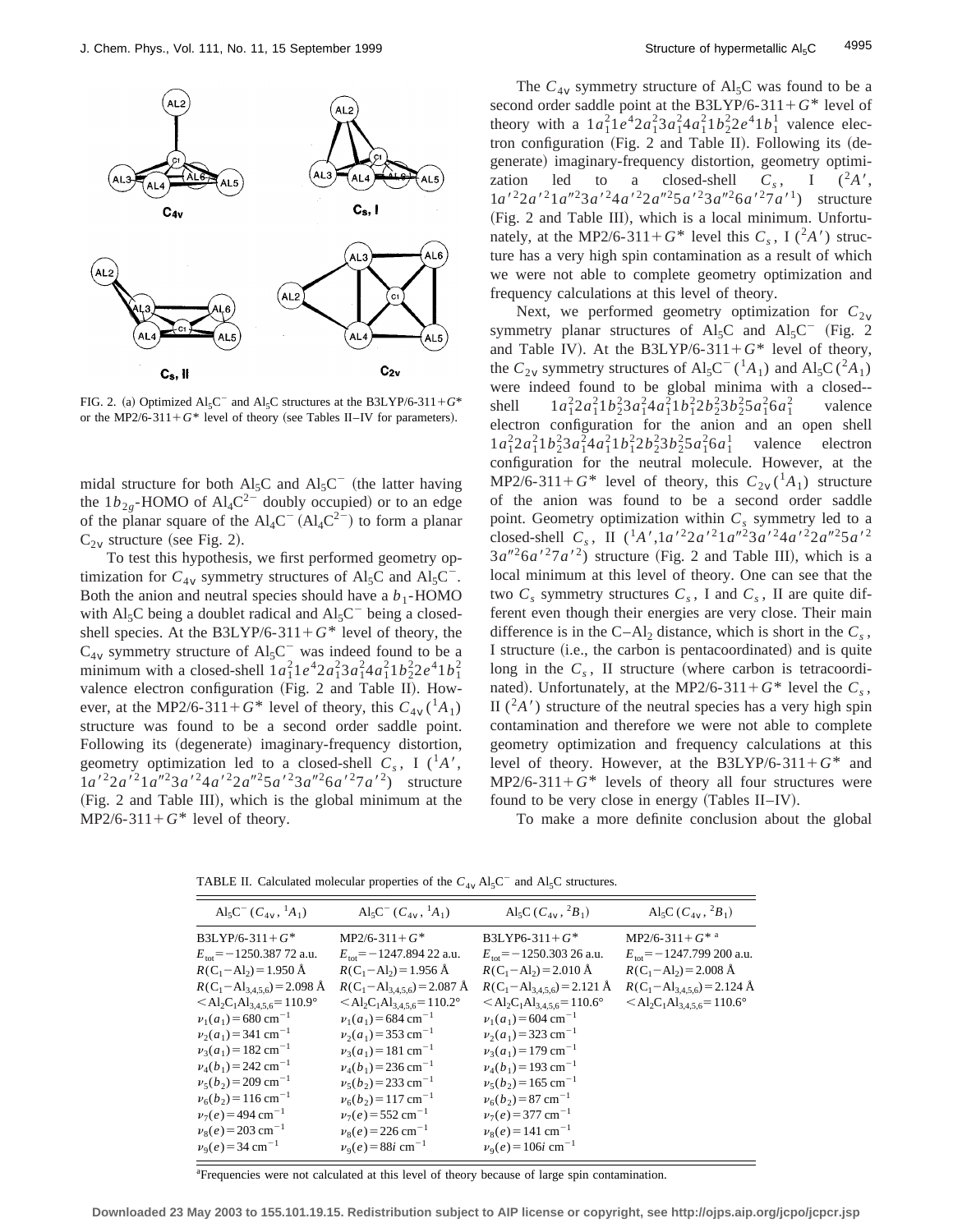

FIG. 2. (a) Optimized  $Al_5C^{\dagger}$  and  $Al_5C$  structures at the B3LYP/6-311+ $G^*$ or the MP2/6-311+ $G^*$  level of theory (see Tables II–IV for parameters).

midal structure for both  $\text{Al}_5\text{C}$  and  $\text{Al}_5\text{C}^-$  (the latter having the  $1b_{2g}$ -HOMO of Al<sub>4</sub>C<sup>2-</sup> doubly occupied) or to an edge of the planar square of the  $Al_4C^- (Al_4C^2^-)$  to form a planar  $C_{2v}$  structure (see Fig. 2).

To test this hypothesis, we first performed geometry optimization for  $C_{4v}$  symmetry structures of Al<sub>5</sub>C and Al<sub>5</sub>C<sup>-</sup>. Both the anion and neutral species should have a  $b_1$ -HOMO with Al<sub>5</sub>C being a doublet radical and  $AI<sub>5</sub>C<sup>-</sup>$  being a closedshell species. At the B3LYP/6-311+ $G^*$  level of theory, the  $C_{4v}$  symmetry structure of Al<sub>5</sub>C<sup>-</sup> was indeed found to be a minimum with a closed-shell  $1a_1^21e^42a_1^23a_1^24a_1^21b_2^22e^41b_1^2$ valence electron configuration (Fig. 2 and Table II). However, at the MP2/6-311+ $G^*$  level of theory, this  $C_{4V}({}^1A_1)$ structure was found to be a second order saddle point. Following its (degenerate) imaginary-frequency distortion, geometry optimization led to a closed-shell  $C_s$ , I (<sup>1</sup>*A'*,  $1a^{2}2a^{2}1a^{2}3a^{2}4a^{2}2a^{2}5a^{2}3a^{2}6a^{2}7a^{2}$  structure  $(Fig. 2$  and Table III), which is the global minimum at the  $MP2/6-311+G^*$  level of theory.

The  $C_{4v}$  symmetry structure of Al<sub>5</sub>C was found to be a second order saddle point at the B3LYP/6-311+ $G^*$  level of theory with a  $1a_1^2 1e^4 2a_1^2 3a_1^2 4a_1^2 1b_2^2 2e^4 1b_1^1$  valence electron configuration (Fig. 2 and Table II). Following its  $(de$ generate) imaginary-frequency distortion, geometry optimization led to a closed-shell  $C_s$ , I  $(^2A)$ ,  $1a^{2}2a^{2}1a^{2}3a^{2}4a^{2}2a^{2}5a^{2}3a^{2}6a^{2}7a^{1}$  structure (Fig. 2 and Table III), which is a local minimum. Unfortunately, at the MP2/6-311+ $G^*$  level this  $C_s$ , I( $^2A'$ ) structure has a very high spin contamination as a result of which we were not able to complete geometry optimization and frequency calculations at this level of theory.

Next, we performed geometry optimization for  $C_{2v}$ symmetry planar structures of Al<sub>5</sub>C and Al<sub>5</sub>C<sup>-</sup> (Fig. 2 and Table IV). At the B3LYP/6-311+ $G^*$  level of theory, the  $C_{2v}$  symmetry structures of  $\text{Al}_5\text{C}^{-1}(\text{A}_1)$  and  $\text{Al}_5\text{C}(\text{A}_1)$ were indeed found to be global minima with a closed- shell  $1a_1^2 2a_1^2 1b_2^2 3a_1^2 4a_1^2 1b_1^2 2b_2^2 3b_2^2 5a_1^2 6a_1^2$ valence electron configuration for the anion and an open shell  $1a_1^2 2a_1^2 1b_2^2 3a_1^2 4a_1^2 1b_1^2 2b_2^2 3b_2^2 5a_1^2 6a_1^1$  valence electron configuration for the neutral molecule. However, at the MP2/6-311+ $G^*$  level of theory, this  $C_{2v}({}^1A_1)$  structure of the anion was found to be a second order saddle point. Geometry optimization within  $C_s$  symmetry led to a closed-shell  $C_s$ , II  $({}^1A', 1a' {}^22a' {}^21a'' {}^23a' {}^24a' {}^22a'' {}^25a' {}^2$  $3a''^2 6a'^2 7a'^2$ ) structure (Fig. 2 and Table III), which is a local minimum at this level of theory. One can see that the two  $C_s$  symmetry structures  $C_s$ , I and  $C_s$ , II are quite different even though their energies are very close. Their main difference is in the  $C-Al_2$  distance, which is short in the  $C_s$ , I structure (i.e., the carbon is pentacoordinated) and is quite long in the  $C_s$ , II structure (where carbon is tetracoordinated). Unfortunately, at the MP2/6-311+ $G^*$  level the  $C_s$ , II  $(^{2}A')$  structure of the neutral species has a very high spin contamination and therefore we were not able to complete geometry optimization and frequency calculations at this level of theory. However, at the B3LYP/6-311+ $G^*$  and  $MP2/6-311+G^*$  levels of theory all four structures were found to be very close in energy  $(Tables II–IV)$ .

To make a more definite conclusion about the global

TABLE II. Calculated molecular properties of the  $C_{4V}$  Al<sub>5</sub>C<sup>-</sup> and Al<sub>5</sub>C structures.

| $\text{Al}_5\text{C}^-(C_{4v}, \,^1A_1)$                          | $\text{Al}_5\text{C}^-(C_{4v}, \,{}^1\!A_1)$                      | Al <sub>5</sub> C ( $C_{4v}$ , ${}^{2}B_{1}$ )                    | Al <sub>5</sub> C ( $C_{4v}$ , ${}^{2}B_{1}$ )                    |
|-------------------------------------------------------------------|-------------------------------------------------------------------|-------------------------------------------------------------------|-------------------------------------------------------------------|
| B3LYP/6-311+ $G^*$                                                | $MP2/6 - 311 + G*$                                                | B3LYP6-311+ $G^*$                                                 | $MP2/6-311+G*^a$                                                  |
| $E_{\text{tot}}$ = -1250.387 72 a.u.                              | $E_{\text{tot}}$ = -1247.894 22 a.u.                              | $E_{\text{tot}}$ = -1250.303 26 a.u.                              | $E_{\text{tot}}$ = -1247.799 200 a.u.                             |
| $R(C_1 - Al_2) = 1.950$ Å                                         | $R(C_1 - Al_2) = 1.956$ Å                                         | $R(C_1 - Al_2) = 2.010$ Å                                         | $R(C_1 - Al_2) = 2.008$ Å                                         |
| $R(C_1 - Al_{3,4,5,6}) = 2.098$ Å                                 | $R(C_1 - Al_{3,4,5,6}) = 2.087$ Å                                 | $R(C_1 - Al_{3,4,5,6}) = 2.121 \text{ Å}$                         | $R(C_1 - Al_{3,4,5,6}) = 2.124 \text{ Å}$                         |
| $<$ Al <sub>2</sub> C <sub>1</sub> Al <sub>3,4,5,6</sub> = 110.9° | $<$ Al <sub>2</sub> C <sub>1</sub> Al <sub>3,4,5,6</sub> = 110.2° | $<$ Al <sub>2</sub> C <sub>1</sub> Al <sub>3,4,5,6</sub> = 110.6° | $<$ Al <sub>2</sub> C <sub>1</sub> Al <sub>3,4,5,6</sub> = 110.6° |
| $v_1(a_1)$ = 680 cm <sup>-1</sup>                                 | $v_1(a_1)$ = 684 cm <sup>-1</sup>                                 | $v_1(a_1)$ = 604 cm <sup>-1</sup>                                 |                                                                   |
| $v_2(a_1) = 341$ cm <sup>-1</sup>                                 | $v_2(a_1)$ = 353 cm <sup>-1</sup>                                 | $v_2(a_1)$ = 323 cm <sup>-1</sup>                                 |                                                                   |
| $v_3(a_1) = 182$ cm <sup>-1</sup>                                 | $v_3(a_1) = 181$ cm <sup>-1</sup>                                 | $v_3(a_1)$ = 179 cm <sup>-1</sup>                                 |                                                                   |
| $v_4(b_1) = 242$ cm <sup>-1</sup>                                 | $v_4(b_1) = 236$ cm <sup>-1</sup>                                 | $v_4(b_1) = 193$ cm <sup>-1</sup>                                 |                                                                   |
| $v_5(b_2) = 209$ cm <sup>-1</sup>                                 | $v_5(b_2) = 233$ cm <sup>-1</sup>                                 | $v_5(b_2) = 165$ cm <sup>-1</sup>                                 |                                                                   |
| $v_6(b_2) = 116$ cm <sup>-1</sup>                                 | $v_6(b_2)$ = 117 cm <sup>-1</sup>                                 | $v_6(b_2) = 87$ cm <sup>-1</sup>                                  |                                                                   |
| $v_7(e) = 494$ cm <sup>-1</sup>                                   | $v_7(e) = 552$ cm <sup>-1</sup>                                   | $v_7(e) = 377$ cm <sup>-1</sup>                                   |                                                                   |
| $v_8(e) = 203$ cm <sup>-1</sup>                                   | $v_8(e) = 226$ cm <sup>-1</sup>                                   | $v_8(e) = 141$ cm <sup>-1</sup>                                   |                                                                   |
| $v_9(e) = 34$ cm <sup>-1</sup>                                    | $v_9(e) = 88i$ cm <sup>-1</sup>                                   | $v_9(e) = 106i$ cm <sup>-1</sup>                                  |                                                                   |

<sup>a</sup>Frequencies were not calculated at this level of theory because of large spin contamination.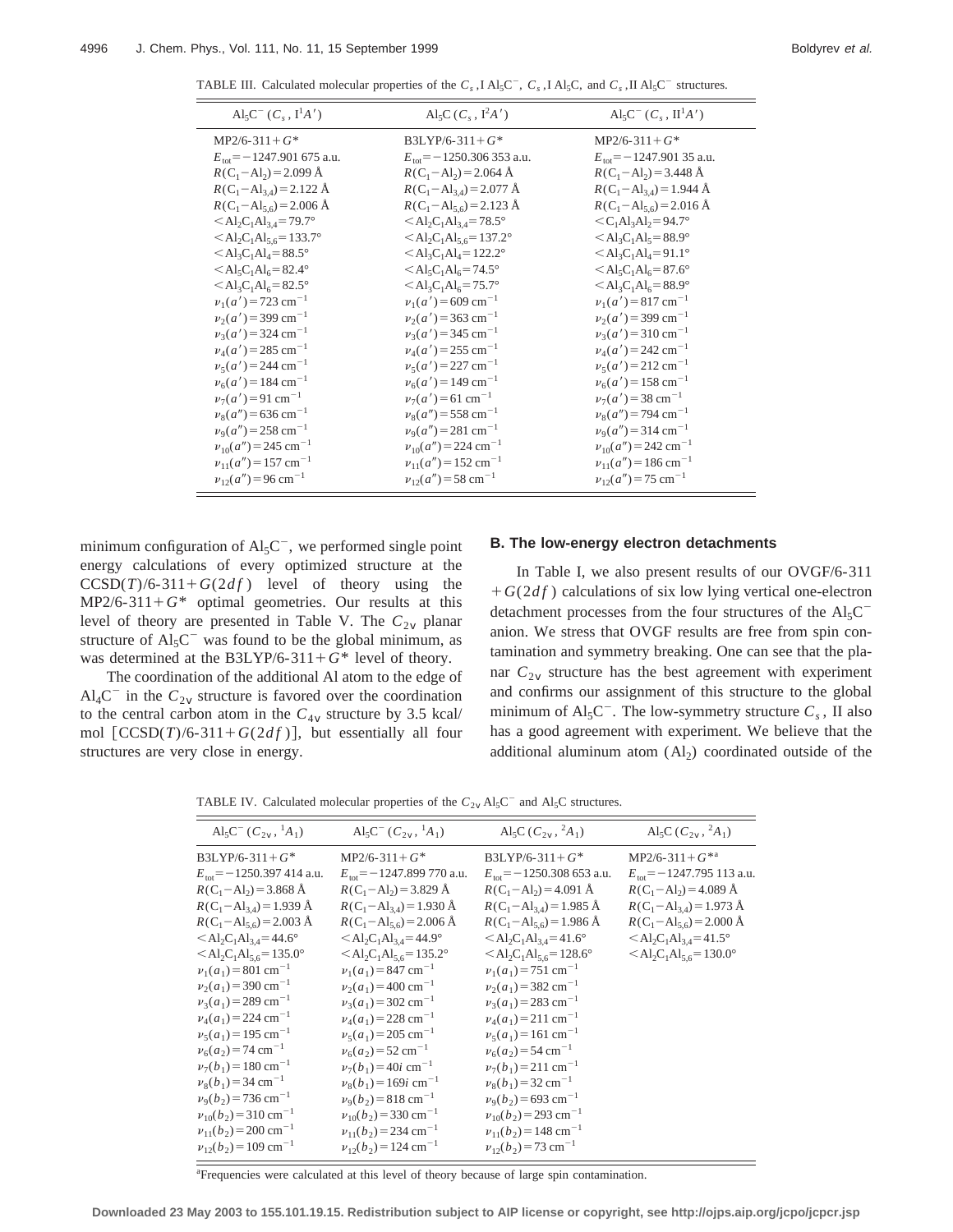TABLE III. Calculated molecular properties of the  $C_s$ , I Al<sub>5</sub>C<sup>-</sup>,  $C_s$ , I Al<sub>5</sub>C, and  $C_s$ , II Al<sub>5</sub>C<sup>-</sup> structures.

| $Al_5C^ (C_s, I^1A')$                                      | Al <sub>5</sub> C ( $C_s$ , $I^2A'$ )                      | $\text{Al}_5\text{C}^-(C_s, \text{II}^1\text{A}')$      |
|------------------------------------------------------------|------------------------------------------------------------|---------------------------------------------------------|
| $MP2/6-311+G^*$                                            | $B3LYP/6-311+G^*$                                          | $MP2/6-311+G*$                                          |
| $E_{\text{tot}}$ = -1247.901 675 a.u.                      | $E_{\text{tot}}$ = -1250.306 353 a.u.                      | $E_{\text{tot}}$ = -1247.901 35 a.u.                    |
| $R(C_1 - Al_2) = 2.099 \text{ Å}$                          | $R(C_1 - Al_2) = 2.064$ Å                                  | $R(C_1 - Al_2) = 3.448$ Å                               |
| $R(C_1 - Al_{3,4}) = 2.122 \text{ Å}$                      | $R(C_1 - Al_{3,4}) = 2.077$ Å                              | $R(C_1 - Al_{3,4}) = 1.944 \text{ Å}$                   |
| $R(C_1 - Al_{5,6}) = 2.006$ Å                              | $R(C_1 - Al_{5,6}) = 2.123$ Å                              | $R(C_1 - Al_{5,6}) = 2.016$ Å                           |
| $<$ Al <sub>2</sub> C <sub>1</sub> Al <sub>34</sub> =79.7° | $<\text{Al}_2\text{C}_1\text{Al}_{3,4} = 78.5^\circ$       | $\langle C_1 A l_3 A l_2 = 94.7^\circ$                  |
| $<\text{Al}_2\text{C}_1\text{Al}_{5,6} = 133.7^\circ$      | $<\text{Al}_2\text{C}_1\text{Al}_{5,6} = 137.2^{\circ}$    | $\langle \text{Al}_3\text{C}_1\text{Al}_5 = 88.9^\circ$ |
| $\langle \text{Al}_3\text{C}_1\text{Al}_4 = 88.5^\circ$    | $<$ Al <sub>3</sub> C <sub>1</sub> Al <sub>4</sub> =122.2° | $\langle \text{Al}_3\text{C}_1\text{Al}_4 = 91.1^\circ$ |
| $<$ Al <sub>5</sub> C <sub>1</sub> Al <sub>6</sub> =82.4°  | $<\text{Al}_5\text{C}_1\text{Al}_6 = 74.5^\circ$           | $<\text{Al}_5\text{C}_1\text{Al}_6 = 87.6^\circ$        |
| $<\text{Al}_3\text{C}_1\text{Al}_6 = 82.5^\circ$           | $<\text{Al}_3\text{C}_1\text{Al}_6 = 75.7^\circ$           | $<\text{Al}_3\text{C}_1\text{Al}_6 = 88.9^\circ$        |
| $v_1(a') = 723$ cm <sup>-1</sup>                           | $v_1(a') = 609$ cm <sup>-1</sup>                           | $v_1(a') = 817$ cm <sup>-1</sup>                        |
| $v_2(a') = 399$ cm <sup>-1</sup>                           | $v_2(a') = 363$ cm <sup>-1</sup>                           | $v_2(a') = 399$ cm <sup>-1</sup>                        |
| $v_3(a') = 324$ cm <sup>-1</sup>                           | $v_3(a') = 345$ cm <sup>-1</sup>                           | $v_3(a') = 310 \text{ cm}^{-1}$                         |
| $v_4(a') = 285$ cm <sup>-1</sup>                           | $v_4(a') = 255$ cm <sup>-1</sup>                           | $v_4(a') = 242$ cm <sup>-1</sup>                        |
| $v_5(a') = 244$ cm <sup>-1</sup>                           | $v_5(a') = 227$ cm <sup>-1</sup>                           | $v_5(a') = 212 \text{ cm}^{-1}$                         |
| $v_6(a') = 184$ cm <sup>-1</sup>                           | $v_6(a') = 149$ cm <sup>-1</sup>                           | $v_6(a') = 158$ cm <sup>-1</sup>                        |
| $\nu_7(a') = 91$ cm <sup>-1</sup>                          | $\nu_7(a') = 61$ cm <sup>-1</sup>                          | $v_7(a') = 38$ cm <sup>-1</sup>                         |
| $v_8(a'') = 636$ cm <sup>-1</sup>                          | $v_8(a'') = 558$ cm <sup>-1</sup>                          | $v_8(a'') = 794$ cm <sup>-1</sup>                       |
| $v_9(a'') = 258$ cm <sup>-1</sup>                          | $v_9(a'') = 281$ cm <sup>-1</sup>                          | $v9(a'') = 314$ cm <sup>-1</sup>                        |
| $v_{10}(a'') = 245$ cm <sup>-1</sup>                       | $v_{10}(a'') = 224$ cm <sup>-1</sup>                       | $v_{10}(a'') = 242$ cm <sup>-1</sup>                    |
| $v_{11}(a'') = 157$ cm <sup>-1</sup>                       | $v_{11}(a'') = 152$ cm <sup>-1</sup>                       | $v_{11}(a'') = 186$ cm <sup>-1</sup>                    |
| $v_{12}(a'') = 96$ cm <sup>-1</sup>                        | $v_{12}(a'') = 58$ cm <sup>-1</sup>                        | $v_{12}(a'') = 75$ cm <sup>-1</sup>                     |
|                                                            |                                                            |                                                         |

minimum configuration of  $Al_5C^-$ , we performed single point energy calculations of every optimized structure at the  $CCSD(T)/6-311+G(2df)$  level of theory using the  $MP2/6-311+G^*$  optimal geometries. Our results at this level of theory are presented in Table V. The  $C_{2v}$  planar structure of  $Al_5C^-$  was found to be the global minimum, as was determined at the B3LYP/6-311+ $G^*$  level of theory.

The coordination of the additional Al atom to the edge of  $\text{Al}_4\text{C}^-$  in the  $\text{C}_{2v}$  structure is favored over the coordination to the central carbon atom in the  $C_{4v}$  structure by 3.5 kcal/ mol  $[CCSD(T)/6-311+G(2df)]$ , but essentially all four structures are very close in energy.

#### **B. The low-energy electron detachments**

In Table I, we also present results of our OVGF/6-311  $+G(2df)$  calculations of six low lying vertical one-electron detachment processes from the four structures of the  $Al<sub>5</sub>C$ anion. We stress that OVGF results are free from spin contamination and symmetry breaking. One can see that the planar  $C_{2v}$  structure has the best agreement with experiment and confirms our assignment of this structure to the global minimum of  $Al_5C^-$ . The low-symmetry structure  $C_s$ , II also has a good agreement with experiment. We believe that the additional aluminum atom  $(Al<sub>2</sub>)$  coordinated outside of the

TABLE IV. Calculated molecular properties of the  $C_{2v}$  Al<sub>5</sub>C<sup>-</sup> and Al<sub>5</sub>C structures.

| $\text{Al}_5\text{C}^-(C_{2v}, \,{}^1\!A_1)$                 | $\text{Al}_5\text{C}^-(C_{2v}, \,{}^1\!A_1)$                  | Al <sub>5</sub> C ( $C_{2v}$ , $^2A_1$ )                     | Al <sub>5</sub> C ( $C_{2v}$ , ${}^{2}A_{1}$ )               |
|--------------------------------------------------------------|---------------------------------------------------------------|--------------------------------------------------------------|--------------------------------------------------------------|
| $B3LYP/6-311+G*$                                             | $MP2/6 - 311 + G*$                                            | $B3LYP/6-311+G*$                                             | $MP2/6 - 311 + G^{*a}$                                       |
| $E_{\text{tot}}$ = -1250.397 414 a.u.                        | $E_{\text{tot}}$ = -1247.899 770 a.u.                         | $E_{\text{tot}}$ = -1250.308 653 a.u.                        | $E_{\text{tot}}$ = -1247.795 113 a.u.                        |
| $R(C_1 - Al_2) = 3.868$ Å                                    | $R(C_1 - Al_2) = 3.829 \text{ Å}$                             | $R(C_1 - Al_2) = 4.091 \text{ Å}$                            | $R(C_1 - Al_2) = 4.089 \text{ Å}$                            |
| $R(C_1 - Al_{3,4}) = 1.939 \text{ Å}$                        | $R(C_1 - Al_{3,4}) = 1.930 \text{ Å}$                         | $R(C_1 - Al_{3,4}) = 1.985$ Å                                | $R(C_1 - Al_{3,4}) = 1.973 \text{ Å}$                        |
| $R(C_1 - Al_{5,6}) = 2.003$ Å                                | $R(C_1 - Al_{5,6}) = 2.006$ Å                                 | $R(C_1 - Al_{5,6}) = 1.986$ Å                                | $R(C_1 - Al_{5,6}) = 2.000 \text{ Å}$                        |
| $<\text{Al}_2\text{C}_1\text{Al}_{3,4} = 44.6^\circ$         | $<\text{Al}_2\text{C}_1\text{Al}_{3,4} = 44.9^\circ$          | $<\text{Al}_2\text{C}_1\text{Al}_{3,4} = 41.6^\circ$         | $<\text{Al}_2\text{C}_1\text{Al}_{3,4} = 41.5^\circ$         |
| $<$ Al <sub>2</sub> C <sub>1</sub> Al <sub>5,6</sub> =135.0° | $<$ Al <sub>2</sub> C <sub>1</sub> Al <sub>5,6</sub> = 135.2° | $<$ Al <sub>2</sub> C <sub>1</sub> Al <sub>5,6</sub> =128.6° | $<$ Al <sub>2</sub> C <sub>1</sub> Al <sub>5,6</sub> =130.0° |
| $v_1(a_1) = 801$ cm <sup>-1</sup>                            | $v_1(a_1) = 847$ cm <sup>-1</sup>                             | $v_1(a_1) = 751$ cm <sup>-1</sup>                            |                                                              |
| $v_2(a_1) = 390 \text{ cm}^{-1}$                             | $v_2(a_1) = 400$ cm <sup>-1</sup>                             | $v_2(a_1) = 382$ cm <sup>-1</sup>                            |                                                              |
| $v_3(a_1) = 289$ cm <sup>-1</sup>                            | $v_3(a_1) = 302$ cm <sup>-1</sup>                             | $v_3(a_1) = 283$ cm <sup>-1</sup>                            |                                                              |
| $v_4(a_1) = 224$ cm <sup>-1</sup>                            | $v_4(a_1) = 228$ cm <sup>-1</sup>                             | $v_4(a_1) = 211$ cm <sup>-1</sup>                            |                                                              |
| $v_5(a_1) = 195$ cm <sup>-1</sup>                            | $v_5(a_1) = 205$ cm <sup>-1</sup>                             | $v_5(a_1) = 161$ cm <sup>-1</sup>                            |                                                              |
| $v_6(a_2) = 74$ cm <sup>-1</sup>                             | $v_6(a_2)$ = 52 cm <sup>-1</sup>                              | $v_6(a_2)$ = 54 cm <sup>-1</sup>                             |                                                              |
| $v_7(b_1) = 180$ cm <sup>-1</sup>                            | $\nu_7(b_1) = 40i \text{ cm}^{-1}$                            | $v_7(b_1) = 211$ cm <sup>-1</sup>                            |                                                              |
| $v_8(b_1) = 34$ cm <sup>-1</sup>                             | $v_8(b_1) = 169i$ cm <sup>-1</sup>                            | $v_8(b_1) = 32$ cm <sup>-1</sup>                             |                                                              |
| $v_9(b_2) = 736$ cm <sup>-1</sup>                            | $v_9(b_2) = 818$ cm <sup>-1</sup>                             | $v_9(b_2)$ = 693 cm <sup>-1</sup>                            |                                                              |
| $v_{10}(b_2) = 310 \text{ cm}^{-1}$                          | $v_{10}(b_2) = 330$ cm <sup>-1</sup>                          | $v_{10}(b_2) = 293$ cm <sup>-1</sup>                         |                                                              |
| $v_{11}(b_2) = 200 \text{ cm}^{-1}$                          | $v_{11}(b_2) = 234$ cm <sup>-1</sup>                          | $v_{11}(b_2) = 148$ cm <sup>-1</sup>                         |                                                              |
| $v_{12}(b_2) = 109$ cm <sup>-1</sup>                         | $v_{12}(b_2) = 124$ cm <sup>-1</sup>                          | $v_{12}(b_2) = 73$ cm <sup>-1</sup>                          |                                                              |
|                                                              |                                                               |                                                              |                                                              |

<sup>a</sup>Frequencies were calculated at this level of theory because of large spin contamination.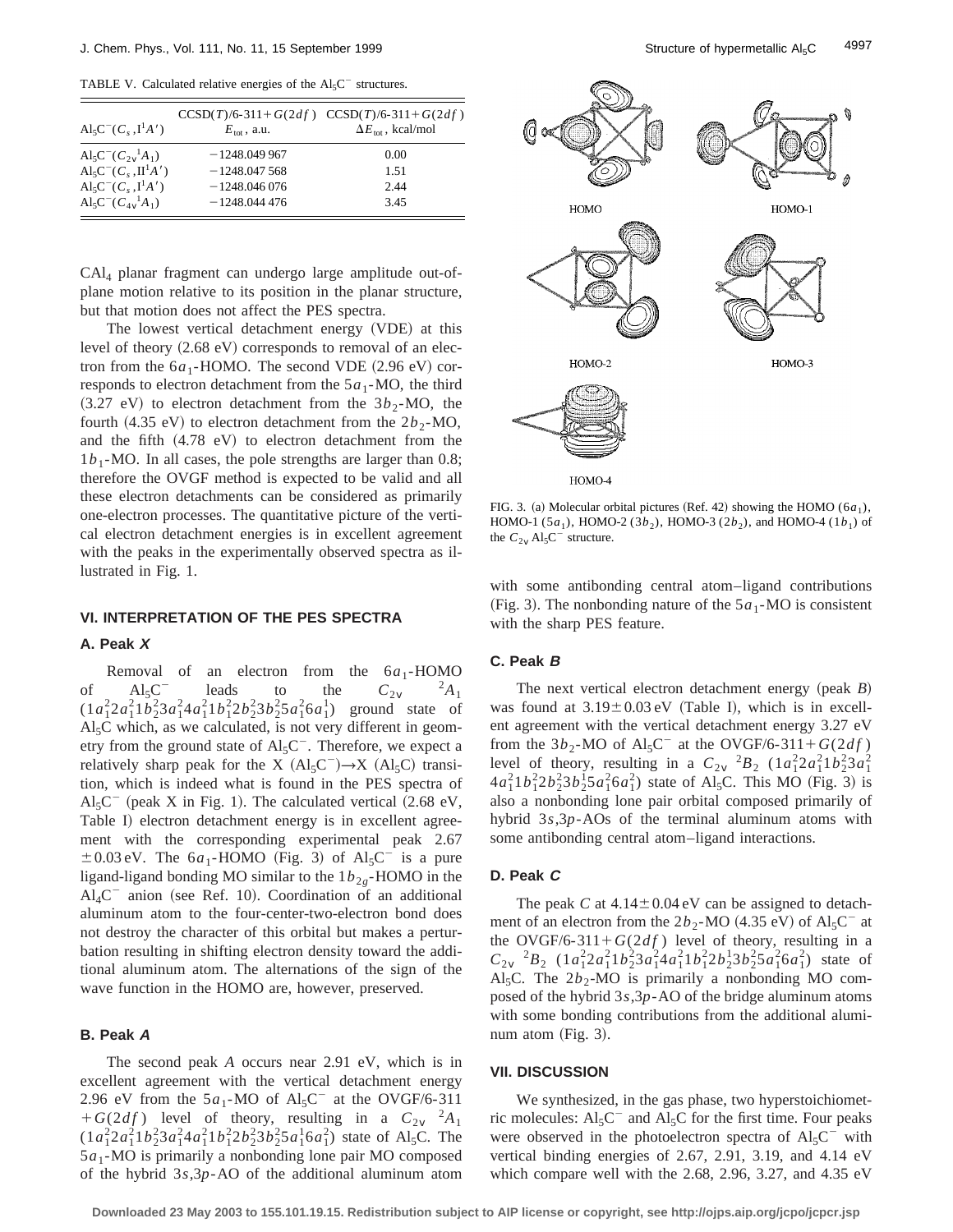TABLE V. Calculated relative energies of the  $Al<sub>5</sub>C<sup>-</sup>$  structures.

| $\text{Al}_5\text{C}^-(C_s, \text{I}^1\text{A}')$  | $E_{\text{tot}}$ , a.u. | $CCSD(T)/6-311+G(2df)$ $CCSD(T)/6-311+G(2df)$<br>$\Delta E_{\text{tot}}$ , kcal/mol |
|----------------------------------------------------|-------------------------|-------------------------------------------------------------------------------------|
| $\text{Al}_5\text{C}^-(C_2^{\,1}_\nu A_1)$         | $-1248.049967$          | 0.00                                                                                |
| $\text{Al}_5\text{C}^-(C_s, \text{II}^1\text{A}')$ | $-1248.047568$          | 1.51                                                                                |
| $\text{Al}_5\text{C}^-(C, \, \text{I}^1\text{A}')$ | $-1248.046076$          | 2.44                                                                                |
| $\text{Al}_5\text{C}^-(C_{4v}^{\ \ 1}A_1)$         | $-1248.044476$          | 3.45                                                                                |

CAl4 planar fragment can undergo large amplitude out-ofplane motion relative to its position in the planar structure, but that motion does not affect the PES spectra.

The lowest vertical detachment energy (VDE) at this level of theory  $(2.68 \text{ eV})$  corresponds to removal of an electron from the  $6a_1$ -HOMO. The second VDE  $(2.96 \text{ eV})$  corresponds to electron detachment from the  $5a_1$ -MO, the third  $(3.27 \text{ eV})$  to electron detachment from the  $3b_2$ -MO, the fourth  $(4.35 \text{ eV})$  to electron detachment from the  $2b<sub>2</sub>$ -MO, and the fifth  $(4.78 \text{ eV})$  to electron detachment from the  $1b_1$ -MO. In all cases, the pole strengths are larger than 0.8; therefore the OVGF method is expected to be valid and all these electron detachments can be considered as primarily one-electron processes. The quantitative picture of the vertical electron detachment energies is in excellent agreement with the peaks in the experimentally observed spectra as illustrated in Fig. 1.

# **VI. INTERPRETATION OF THE PES SPECTRA**

### **A. Peak X**

Removal of an electron from the  $6a_1$ -HOMO<br>Al<sub>5</sub>C<sup>-</sup> leads to the  $C_2$ <sup>2</sup>A<sub>1</sub> of  $AI_5C^-\qquad$  leads to the  $C_{2v}$  <sup>2</sup>*A*<sub>1</sub>  $(1a_1^2 2a_1^2 1b_2^2 3a_1^2 4a_1^2 1b_1^2 2b_2^2 3b_2^2 5a_1^2 6a_1^1)$  ground state of  $Al<sub>5</sub>C$  which, as we calculated, is not very different in geometry from the ground state of  $\text{Al}_5\text{C}^-$ . Therefore, we expect a relatively sharp peak for the X  $(Al_5C^-)\rightarrow X (Al_5C)$  transition, which is indeed what is found in the PES spectra of  $Al_5C^-$  (peak X in Fig. 1). The calculated vertical (2.68 eV, Table I) electron detachment energy is in excellent agreement with the corresponding experimental peak 2.67  $\pm 0.03$  eV. The 6*a*<sub>1</sub>-HOMO (Fig. 3) of Al<sub>5</sub>C<sup>-</sup> is a pure ligand-ligand bonding MO similar to the  $1b_{2g}$ -HOMO in the  $Al_4C^-$  anion (see Ref. 10). Coordination of an additional aluminum atom to the four-center-two-electron bond does not destroy the character of this orbital but makes a perturbation resulting in shifting electron density toward the additional aluminum atom. The alternations of the sign of the wave function in the HOMO are, however, preserved.

### **B. Peak A**

The second peak *A* occurs near 2.91 eV, which is in excellent agreement with the vertical detachment energy 2.96 eV from the  $5a_1$ -MO of Al<sub>5</sub>C<sup>-</sup> at the OVGF/6-311  $+G(2df)$  level of theory, resulting in a  $C_{2v}^2 A_1$  $(1a_1^2 2a_1^2 1b_2^2 3a_1^2 4a_1^2 1b_1^2 2b_2^2 3b_2^2 5a_1^1 6a_1^2)$  state of Al<sub>5</sub>C. The 5*a*1-MO is primarily a nonbonding lone pair MO composed of the hybrid 3*s*,3*p*-AO of the additional aluminum atom



FIG. 3. (a) Molecular orbital pictures (Ref. 42) showing the HOMO ( $6a_1$ ), HOMO-1 (5*a*<sub>1</sub>), HOMO-2 (3*b*<sub>2</sub>), HOMO-3 (2*b*<sub>2</sub>), and HOMO-4 (1*b*<sub>1</sub>) of the  $C_{2\nu}$  Al<sub>5</sub>C<sup>-</sup> structure.

with some antibonding central atom–ligand contributions (Fig. 3). The nonbonding nature of the  $5a_1$ -MO is consistent with the sharp PES feature.

### **C. Peak B**

The next vertical electron detachment energy (peak  $B$ ) was found at  $3.19 \pm 0.03$  eV (Table I), which is in excellent agreement with the vertical detachment energy 3.27 eV from the  $3b_2$ -MO of Al<sub>5</sub>C<sup>-</sup> at the OVGF/6-311+G(2*df*) level of theory, resulting in a  $C_{2v}$  <sup>2</sup> $B_2$  (1*a*<sup>2</sup><sub>1</sub>2*a*<sup>2</sup><sub>1</sub>1*b*<sup>2</sup><sub>2</sub>3*a*<sup>2</sup><sub>1</sub>  $4a_1^21b_1^22b_2^23b_2^15a_1^26a_1^2$  state of Al<sub>5</sub>C. This MO (Fig. 3) is also a nonbonding lone pair orbital composed primarily of hybrid 3*s*,3*p*-AOs of the terminal aluminum atoms with some antibonding central atom–ligand interactions.

### **D. Peak C**

The peak C at  $4.14 \pm 0.04$  eV can be assigned to detachment of an electron from the  $2b_2$ -MO (4.35 eV) of Al<sub>5</sub>C<sup>-</sup> at the OVGF/6-311+ $G(2df)$  level of theory, resulting in a  $C_{2v}$ <sup>2</sup> $B_2$  (1*a*<sup>2</sup><sub>1</sub>2*a*<sup>2</sup><sub>1</sub>1*b*<sup>2</sup><sub>2</sub>3*a*<sup>2</sup><sub>1</sub>4*a*<sup>2</sup><sub>1</sub>1*b*<sup>2</sup><sub>1</sub>2*b*<sup>1</sup><sub>2</sub>3*b*<sup>2</sup><sub>2</sub>5*a*<sup>2</sup><sub>1</sub>6*a*<sup>2</sup><sub>1</sub>) state of Al<sub>5</sub>C. The  $2b_2$ -MO is primarily a nonbonding MO composed of the hybrid 3*s*,3*p*-AO of the bridge aluminum atoms with some bonding contributions from the additional aluminum atom  $(Fig. 3)$ .

#### **VII. DISCUSSION**

We synthesized, in the gas phase, two hyperstoichiometric molecules:  $AI<sub>5</sub>C<sup>-</sup>$  and  $AI<sub>5</sub>C$  for the first time. Four peaks were observed in the photoelectron spectra of  $Al_5C^-$  with vertical binding energies of 2.67, 2.91, 3.19, and 4.14 eV which compare well with the 2.68, 2.96, 3.27, and 4.35 eV